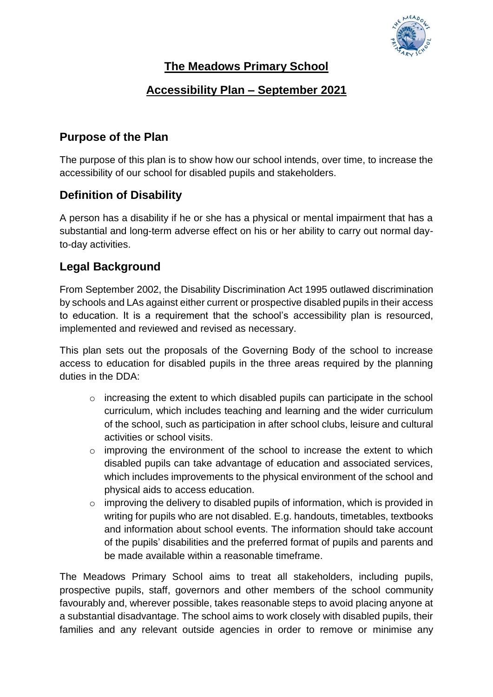

#### **The Meadows Primary School**

#### **Accessibility Plan – September 2021**

#### **Purpose of the Plan**

The purpose of this plan is to show how our school intends, over time, to increase the accessibility of our school for disabled pupils and stakeholders.

# **Definition of Disability**

A person has a disability if he or she has a physical or mental impairment that has a substantial and long-term adverse effect on his or her ability to carry out normal dayto-day activities.

# **Legal Background**

From September 2002, the Disability Discrimination Act 1995 outlawed discrimination by schools and LAs against either current or prospective disabled pupils in their access to education. It is a requirement that the school's accessibility plan is resourced, implemented and reviewed and revised as necessary.

This plan sets out the proposals of the Governing Body of the school to increase access to education for disabled pupils in the three areas required by the planning duties in the DDA:

- o increasing the extent to which disabled pupils can participate in the school curriculum, which includes teaching and learning and the wider curriculum of the school, such as participation in after school clubs, leisure and cultural activities or school visits.
- $\circ$  improving the environment of the school to increase the extent to which disabled pupils can take advantage of education and associated services, which includes improvements to the physical environment of the school and physical aids to access education.
- o improving the delivery to disabled pupils of information, which is provided in writing for pupils who are not disabled. E.g. handouts, timetables, textbooks and information about school events. The information should take account of the pupils' disabilities and the preferred format of pupils and parents and be made available within a reasonable timeframe.

The Meadows Primary School aims to treat all stakeholders, including pupils, prospective pupils, staff, governors and other members of the school community favourably and, wherever possible, takes reasonable steps to avoid placing anyone at a substantial disadvantage. The school aims to work closely with disabled pupils, their families and any relevant outside agencies in order to remove or minimise any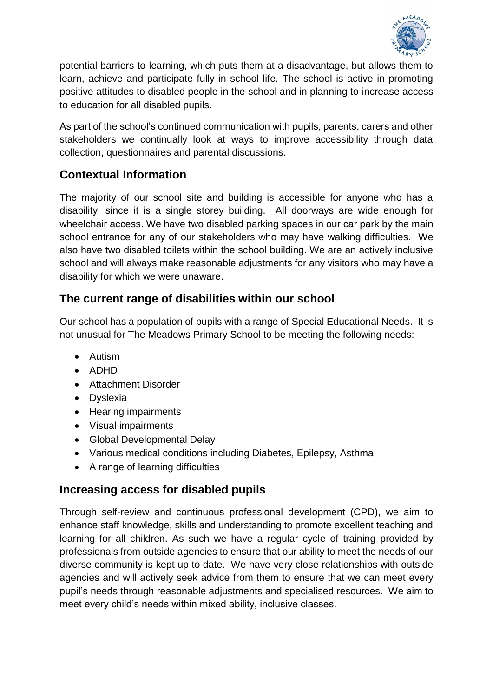

potential barriers to learning, which puts them at a disadvantage, but allows them to learn, achieve and participate fully in school life. The school is active in promoting positive attitudes to disabled people in the school and in planning to increase access to education for all disabled pupils.

As part of the school's continued communication with pupils, parents, carers and other stakeholders we continually look at ways to improve accessibility through data collection, questionnaires and parental discussions.

# **Contextual Information**

The majority of our school site and building is accessible for anyone who has a disability, since it is a single storey building. All doorways are wide enough for wheelchair access. We have two disabled parking spaces in our car park by the main school entrance for any of our stakeholders who may have walking difficulties. We also have two disabled toilets within the school building. We are an actively inclusive school and will always make reasonable adjustments for any visitors who may have a disability for which we were unaware.

# **The current range of disabilities within our school**

Our school has a population of pupils with a range of Special Educational Needs. It is not unusual for The Meadows Primary School to be meeting the following needs:

- Autism
- $\bullet$  ADHD
- Attachment Disorder
- Dyslexia
- Hearing impairments
- Visual impairments
- Global Developmental Delay
- Various medical conditions including Diabetes, Epilepsy, Asthma
- A range of learning difficulties

# **Increasing access for disabled pupils**

Through self-review and continuous professional development (CPD), we aim to enhance staff knowledge, skills and understanding to promote excellent teaching and learning for all children. As such we have a regular cycle of training provided by professionals from outside agencies to ensure that our ability to meet the needs of our diverse community is kept up to date. We have very close relationships with outside agencies and will actively seek advice from them to ensure that we can meet every pupil's needs through reasonable adjustments and specialised resources. We aim to meet every child's needs within mixed ability, inclusive classes.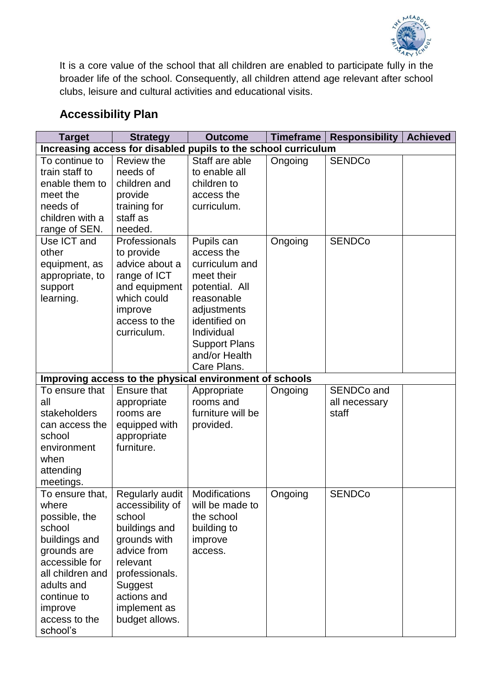

It is a core value of the school that all children are enabled to participate fully in the broader life of the school. Consequently, all children attend age relevant after school clubs, leisure and cultural activities and educational visits.

# **Accessibility Plan**

| <b>Target</b>                                                  | <b>Strategy</b>    | <b>Outcome</b>                                          | <b>Timeframe</b> | <b>Responsibility</b> | <b>Achieved</b> |  |  |  |
|----------------------------------------------------------------|--------------------|---------------------------------------------------------|------------------|-----------------------|-----------------|--|--|--|
| Increasing access for disabled pupils to the school curriculum |                    |                                                         |                  |                       |                 |  |  |  |
| To continue to                                                 | Review the         | Staff are able                                          | Ongoing          | <b>SENDCo</b>         |                 |  |  |  |
| train staff to                                                 | needs of           | to enable all                                           |                  |                       |                 |  |  |  |
| enable them to                                                 | children and       | children to                                             |                  |                       |                 |  |  |  |
| meet the                                                       | provide            | access the                                              |                  |                       |                 |  |  |  |
| needs of                                                       | training for       | curriculum.                                             |                  |                       |                 |  |  |  |
| children with a                                                | staff as           |                                                         |                  |                       |                 |  |  |  |
| range of SEN.                                                  | needed.            |                                                         |                  |                       |                 |  |  |  |
| Use ICT and                                                    | Professionals      | Pupils can                                              | Ongoing          | <b>SENDCo</b>         |                 |  |  |  |
| other                                                          | to provide         | access the                                              |                  |                       |                 |  |  |  |
| equipment, as                                                  | advice about a     | curriculum and                                          |                  |                       |                 |  |  |  |
| appropriate, to                                                | range of ICT       | meet their                                              |                  |                       |                 |  |  |  |
| support                                                        | and equipment      | potential. All                                          |                  |                       |                 |  |  |  |
| learning.                                                      | which could        | reasonable                                              |                  |                       |                 |  |  |  |
|                                                                | improve            | adjustments                                             |                  |                       |                 |  |  |  |
|                                                                | access to the      | identified on                                           |                  |                       |                 |  |  |  |
|                                                                | curriculum.        | Individual                                              |                  |                       |                 |  |  |  |
|                                                                |                    | <b>Support Plans</b>                                    |                  |                       |                 |  |  |  |
|                                                                |                    | and/or Health                                           |                  |                       |                 |  |  |  |
|                                                                |                    | Care Plans.                                             |                  |                       |                 |  |  |  |
|                                                                |                    | Improving access to the physical environment of schools |                  |                       |                 |  |  |  |
| To ensure that                                                 | <b>Ensure that</b> | Appropriate                                             | Ongoing          | SENDCo and            |                 |  |  |  |
| all                                                            | appropriate        | rooms and                                               |                  | all necessary         |                 |  |  |  |
| stakeholders                                                   | rooms are          | furniture will be                                       |                  | staff                 |                 |  |  |  |
| can access the                                                 | equipped with      | provided.                                               |                  |                       |                 |  |  |  |
| school                                                         | appropriate        |                                                         |                  |                       |                 |  |  |  |
| environment                                                    | furniture.         |                                                         |                  |                       |                 |  |  |  |
| when                                                           |                    |                                                         |                  |                       |                 |  |  |  |
| attending                                                      |                    |                                                         |                  |                       |                 |  |  |  |
| meetings.                                                      |                    |                                                         |                  |                       |                 |  |  |  |
| To ensure that,                                                | Regularly audit    | Modifications                                           | Ongoing          | <b>SENDCo</b>         |                 |  |  |  |
| where                                                          | accessibility of   | will be made to                                         |                  |                       |                 |  |  |  |
| possible, the                                                  | school             | the school                                              |                  |                       |                 |  |  |  |
| school                                                         | buildings and      | building to                                             |                  |                       |                 |  |  |  |
| buildings and                                                  | grounds with       | improve                                                 |                  |                       |                 |  |  |  |
| grounds are                                                    | advice from        | access.                                                 |                  |                       |                 |  |  |  |
| accessible for                                                 | relevant           |                                                         |                  |                       |                 |  |  |  |
| all children and                                               | professionals.     |                                                         |                  |                       |                 |  |  |  |
| adults and                                                     | Suggest            |                                                         |                  |                       |                 |  |  |  |
| continue to                                                    | actions and        |                                                         |                  |                       |                 |  |  |  |
| improve                                                        | implement as       |                                                         |                  |                       |                 |  |  |  |
| access to the                                                  | budget allows.     |                                                         |                  |                       |                 |  |  |  |
| school's                                                       |                    |                                                         |                  |                       |                 |  |  |  |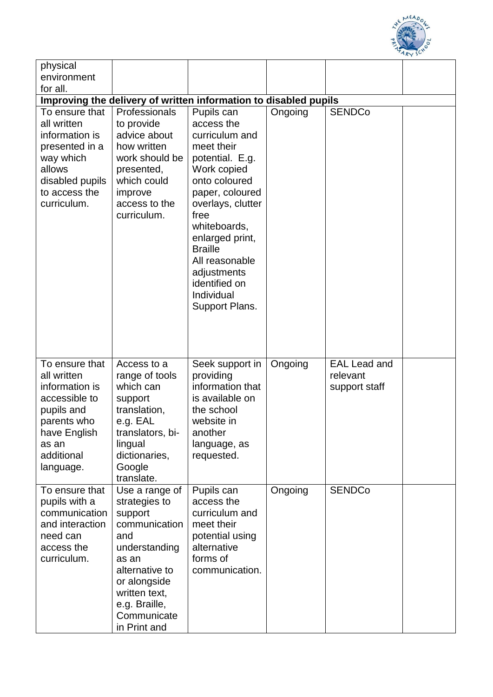

| physical                                                                                                                                          |                                                                                                                                                                                                 |                                                                                                                                                                                                                                                                                                    |         |                                                  |  |  |  |  |
|---------------------------------------------------------------------------------------------------------------------------------------------------|-------------------------------------------------------------------------------------------------------------------------------------------------------------------------------------------------|----------------------------------------------------------------------------------------------------------------------------------------------------------------------------------------------------------------------------------------------------------------------------------------------------|---------|--------------------------------------------------|--|--|--|--|
| environment<br>for all.                                                                                                                           |                                                                                                                                                                                                 |                                                                                                                                                                                                                                                                                                    |         |                                                  |  |  |  |  |
| Improving the delivery of written information to disabled pupils                                                                                  |                                                                                                                                                                                                 |                                                                                                                                                                                                                                                                                                    |         |                                                  |  |  |  |  |
| To ensure that<br>all written<br>information is<br>presented in a<br>way which<br>allows<br>disabled pupils<br>to access the<br>curriculum.       | Professionals<br>to provide<br>advice about<br>how written<br>work should be<br>presented,<br>which could<br>improve<br>access to the<br>curriculum.                                            | Pupils can<br>access the<br>curriculum and<br>meet their<br>potential. E.g.<br>Work copied<br>onto coloured<br>paper, coloured<br>overlays, clutter<br>free<br>whiteboards,<br>enlarged print,<br><b>Braille</b><br>All reasonable<br>adjustments<br>identified on<br>Individual<br>Support Plans. | Ongoing | <b>SENDCo</b>                                    |  |  |  |  |
| To ensure that<br>all written<br>information is<br>accessible to<br>pupils and<br>parents who<br>have English<br>as an<br>additional<br>language. | Access to a<br>range of tools<br>which can<br>support<br>translation,<br>e.g. EAL<br>translators, bi-<br>lingual<br>dictionaries,<br>Google<br>translate.                                       | Seek support in<br>providing<br>information that<br>is available on<br>the school<br>website in<br>another<br>language, as<br>requested.                                                                                                                                                           | Ongoing | <b>EAL Lead and</b><br>relevant<br>support staff |  |  |  |  |
| To ensure that<br>pupils with a<br>communication<br>and interaction<br>need can<br>access the<br>curriculum.                                      | Use a range of<br>strategies to<br>support<br>communication<br>and<br>understanding<br>as an<br>alternative to<br>or alongside<br>written text,<br>e.g. Braille,<br>Communicate<br>in Print and | Pupils can<br>access the<br>curriculum and<br>meet their<br>potential using<br>alternative<br>forms of<br>communication.                                                                                                                                                                           | Ongoing | <b>SENDCo</b>                                    |  |  |  |  |